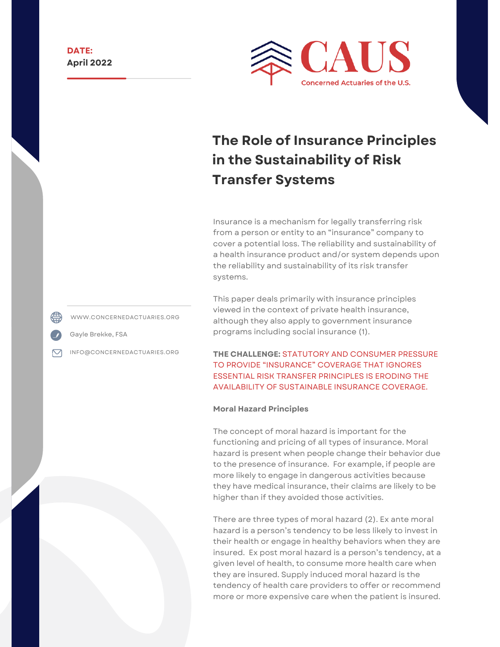

# **The Role of Insurance Principles in the Sustainability of Risk Transfer Systems**

Insurance is a mechanism for legally transferring risk from a person or entity to an "insurance" company to cover a potential loss. The reliability and sustainability of a health insurance product and/or system depends upon the reliability and sustainability of its risk transfer systems.

This paper deals primarily with insurance principles viewed in the context of private health insurance, although they also apply to government insurance programs including social insurance [\(1\)](http://www.concernedactuaries.org/index.php/digging-deeper/item/36-the-role-of-insurance-principles-in-the-sustainability-of-risk-transfer-systems#FN1).

**THE CHALLENGE:** STATUTORY AND CONSUMER PRESSURE TO PROVIDE "INSURANCE" COVERAGE THAT IGNORES ESSENTIAL RISK TRANSFER PRINCIPLES IS ERODING THE AVAILABILITY OF SUSTAINABLE INSURANCE COVERAGE.

#### **Moral Hazard Principles**

The concept of moral hazard is important for the functioning and pricing of all types of insurance. Moral hazard is present when people change their behavior due to the presence of insurance. For example, if people are more likely to engage in dangerous activities because they have medical insurance, their claims are likely to be higher than if they avoided those activities.

There are three types of moral hazard ([2\)](http://www.concernedactuaries.org/index.php/digging-deeper/item/36-the-role-of-insurance-principles-in-the-sustainability-of-risk-transfer-systems#FN2). Ex ante moral hazard is a person's tendency to be less likely to invest in their health or engage in healthy behaviors when they are insured. Ex post moral hazard is a person's tendency, at a given level of health, to consume more health care when they are insured. Supply induced moral hazard is the tendency of health care providers to offer or recommend more or more expensive care when the patient is insured.

WWW.CONCERNEDACTUARIES.ORG

Gayle Brekke, FSA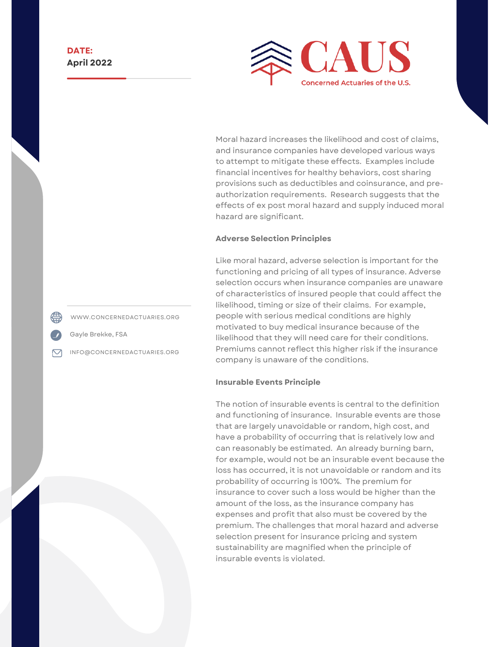

Moral hazard increases the likelihood and cost of claims, and insurance companies have developed various ways to attempt to mitigate these effects. Examples include financial incentives for healthy behaviors, cost sharing provisions such as deductibles and coinsurance, and preauthorization requirements. Research suggests that the effects of ex post moral hazard and supply induced moral hazard are significant.

#### **Adverse Selection Principles**

Like moral hazard, adverse selection is important for the functioning and pricing of all types of insurance. Adverse selection occurs when insurance companies are unaware of characteristics of insured people that could affect the likelihood, timing or size of their claims. For example, people with serious medical conditions are highly motivated to buy medical insurance because of the likelihood that they will need care for their conditions. Premiums cannot reflect this higher risk if the insurance company is unaware of the conditions.

#### **Insurable Events Principle**

The notion of insurable events is central to the definition and functioning of insurance. Insurable events are those that are largely unavoidable or random, high cost, and have a probability of occurring that is relatively low and can reasonably be estimated. An already burning barn, for example, would not be an insurable event because the loss has occurred, it is not unavoidable or random and its probability of occurring is 100%. The premium for insurance to cover such a loss would be higher than the amount of the loss, as the insurance company has expenses and profit that also must be covered by the premium. The challenges that moral hazard and adverse selection present for insurance pricing and system sustainability are magnified when the principle of insurable events is violated.

WWW.CONCERNEDACTUARIES.ORG

Gayle Brekke, FSA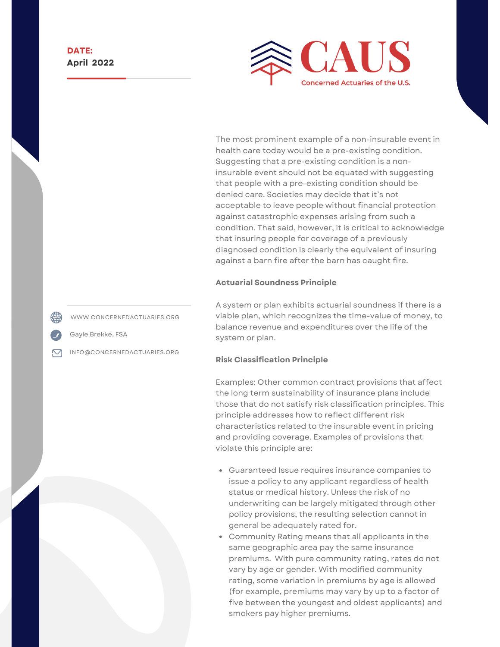

The most prominent example of a non-insurable event in health care today would be a pre-existing condition. Suggesting that a pre-existing condition is a noninsurable event should not be equated with suggesting that people with a pre-existing condition should be denied care. Societies may decide that it's not acceptable to leave people without financial protection against catastrophic expenses arising from such a condition. That said, however, it is critical to acknowledge that insuring people for coverage of a previously diagnosed condition is clearly the equivalent of insuring against a barn fire after the barn has caught fire.

#### **Actuarial Soundness Principle**

A system or plan exhibits actuarial soundness if there is a viable plan, which recognizes the time-value of money, to balance revenue and expenditures over the life of the system or plan.

#### **Risk Classification Principle**

Examples: Other common contract provisions that affect the long term sustainability of insurance plans include those that do not satisfy risk classification principles. This principle addresses how to reflect different risk characteristics related to the insurable event in pricing and providing coverage. Examples of provisions that violate this principle are:

- Guaranteed Issue requires insurance companies to issue a policy to any applicant regardless of health status or medical history. Unless the risk of no underwriting can be largely mitigated through other policy provisions, the resulting selection cannot in general be adequately rated for.
- Community Rating means that all applicants in the same geographic area pay the same insurance premiums. With pure community rating, rates do not vary by age or gender. With modified community rating, some variation in premiums by age is allowed (for example, premiums may vary by up to a factor of five between the youngest and oldest applicants) and smokers pay higher premiums.

WWW.CONCERNEDACTUARIES.ORG

Gayle Brekke, FSA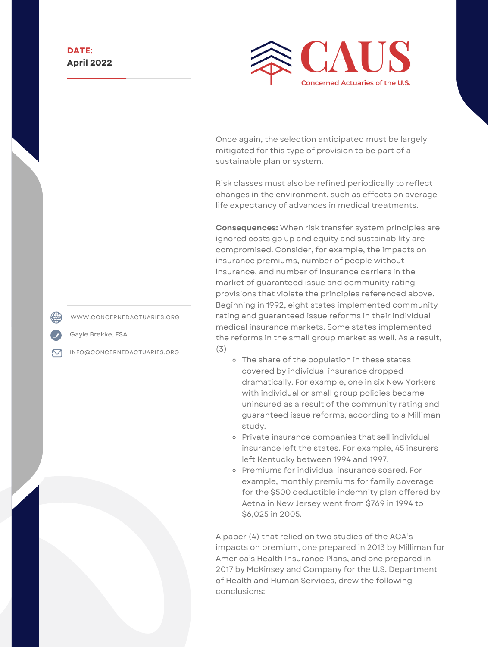

Once again, the selection anticipated must be largely mitigated for this type of provision to be part of a sustainable plan or system.

Risk classes must also be refined periodically to reflect changes in the environment, such as effects on average life expectancy of advances in medical treatments.

**Consequences:** When risk transfer system principles are ignored costs go up and equity and sustainability are compromised. Consider, for example, the impacts on insurance premiums, number of people without insurance, and number of insurance carriers in the market of guaranteed issue and community rating provisions that violate the principles referenced above. Beginning in 1992, eight states implemented community rating and guaranteed issue reforms in their individual medical insurance markets. Some states implemented the reforms in the small group market as well. As a result, [\(3\)](http://www.concernedactuaries.org/index.php/digging-deeper/item/36-the-role-of-insurance-principles-in-the-sustainability-of-risk-transfer-systems#FN3)

- o The share of the population in these states covered by individual insurance dropped dramatically. For example, one in six New Yorkers with individual or small group policies became uninsured as a result of the community rating and guaranteed issue reforms, according to a Milliman study.
- Private insurance companies that sell individual insurance left the states. For example, 45 insurers left Kentucky between 1994 and 1997.
- Premiums for individual insurance soared. For example, monthly premiums for family coverage for the \$500 deductible indemnity plan offered by Aetna in New Jersey went from \$769 in 1994 to \$6,025 in 2005.

A paper ([4](http://www.concernedactuaries.org/index.php/digging-deeper/item/36-the-role-of-insurance-principles-in-the-sustainability-of-risk-transfer-systems#FN4)) that relied on two studies of the ACA's impacts on premium, one prepared in 2013 by Milliman for America's Health Insurance Plans, and one prepared in 2017 by McKinsey and Company for the U.S. Department of Health and Human Services, drew the following conclusions:

WWW.CONCERNEDACTUARIES.ORG

Gayle Brekke, FSA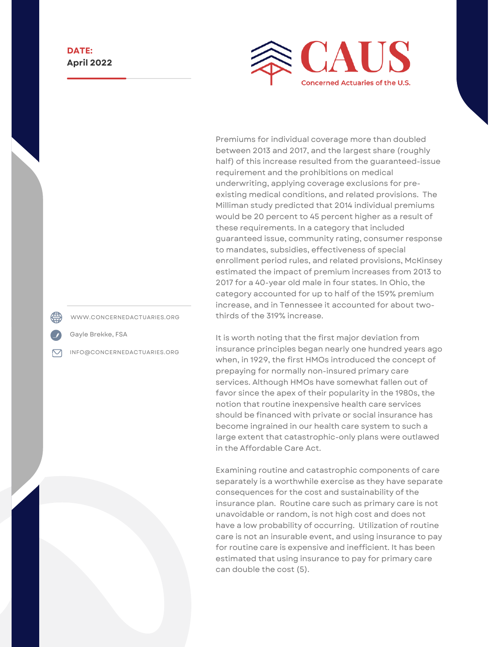

Premiums for individual coverage more than doubled between 2013 and 2017, and the largest share (roughly half) of this increase resulted from the guaranteed-issue requirement and the prohibitions on medical underwriting, applying coverage exclusions for preexisting medical conditions, and related provisions. The Milliman study predicted that 2014 individual premiums would be 20 percent to 45 percent higher as a result of these requirements. In a category that included guaranteed issue, community rating, consumer response to mandates, subsidies, effectiveness of special enrollment period rules, and related provisions, McKinsey estimated the impact of premium increases from 2013 to 2017 for a 40-year old male in four states. In Ohio, the category accounted for up to half of the 159% premium increase, and in Tennessee it accounted for about twothirds of the 319% increase.

It is worth noting that the first major deviation from insurance principles began nearly one hundred years ago when, in 1929, the first HMOs introduced the concept of prepaying for normally non-insured primary care services. Although HMOs have somewhat fallen out of favor since the apex of their popularity in the 1980s, the notion that routine inexpensive health care services should be financed with private or social insurance has become ingrained in our health care system to such a large extent that catastrophic-only plans were outlawed in the Affordable Care Act.

Examining routine and catastrophic components of care separately is a worthwhile exercise as they have separate consequences for the cost and sustainability of the insurance plan. Routine care such as primary care is not unavoidable or random, is not high cost and does not have a low probability of occurring. Utilization of routine care is not an insurable event, and using insurance to pay for routine care is expensive and inefficient. It has been estimated that using insurance to pay for primary care can double the cost [\(5\)](http://www.concernedactuaries.org/index.php/digging-deeper/item/36-the-role-of-insurance-principles-in-the-sustainability-of-risk-transfer-systems#FN5).

WWW.CONCERNEDACTUARIES.ORG

Gayle Brekke, FSA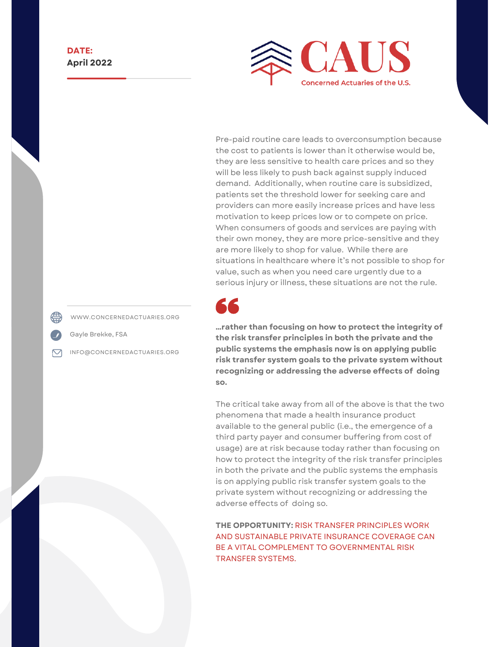

Pre-paid routine care leads to overconsumption because the cost to patients is lower than it otherwise would be, they are less sensitive to health care prices and so they will be less likely to push back against supply induced demand. Additionally, when routine care is subsidized, patients set the threshold lower for seeking care and providers can more easily increase prices and have less motivation to keep prices low or to compete on price. When consumers of goods and services are paying with their own money, they are more price-sensitive and they are more likely to shop for value. While there are situations in healthcare where it's not possible to shop for value, such as when you need care urgently due to a serious injury or illness, these situations are not the rule.



**…rather than focusing on how to protect the integrity of the risk transfer principles in both the private and the public systems the emphasis now is on applying public risk transfer system goals to the private system without recognizing or addressing the adverse effects of doing so.**

The critical take away from all of the above is that the two phenomena that made a health insurance product available to the general public (i.e., the emergence of a third party payer and consumer buffering from cost of usage) are at risk because today rather than focusing on how to protect the integrity of the risk transfer principles in both the private and the public systems the emphasis is on applying public risk transfer system goals to the private system without recognizing or addressing the adverse effects of doing so.

**THE OPPORTUNITY:** RISK TRANSFER PRINCIPLES WORK AND SUSTAINABLE PRIVATE INSURANCE COVERAGE CAN BE A VITAL COMPLEMENT TO GOVERNMENTAL RISK TRANSFER SYSTEMS.

WWW.CONCERNEDACTUARIES.ORG

Gayle Brekke, FSA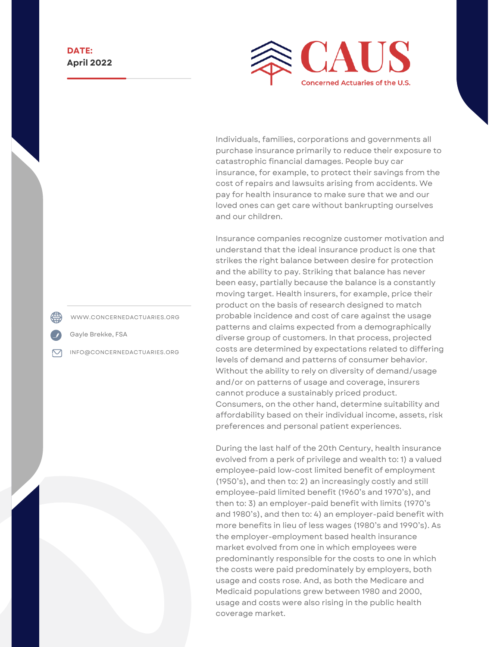

Individuals, families, corporations and governments all purchase insurance primarily to reduce their exposure to catastrophic financial damages. People buy car insurance, for example, to protect their savings from the cost of repairs and lawsuits arising from accidents. We pay for health insurance to make sure that we and our loved ones can get care without bankrupting ourselves and our children.

Insurance companies recognize customer motivation and understand that the ideal insurance product is one that strikes the right balance between desire for protection and the ability to pay. Striking that balance has never been easy, partially because the balance is a constantly moving target. Health insurers, for example, price their product on the basis of research designed to match probable incidence and cost of care against the usage patterns and claims expected from a demographically diverse group of customers. In that process, projected costs are determined by expectations related to differing levels of demand and patterns of consumer behavior. Without the ability to rely on diversity of demand/usage and/or on patterns of usage and coverage, insurers cannot produce a sustainably priced product. Consumers, on the other hand, determine suitability and affordability based on their individual income, assets, risk preferences and personal patient experiences.

During the last half of the 20th Century, health insurance evolved from a perk of privilege and wealth to: 1) a valued employee-paid low-cost limited benefit of employment (1950's), and then to: 2) an increasingly costly and still employee-paid limited benefit (1960's and 1970's), and then to: 3) an employer-paid benefit with limits (1970's and 1980's), and then to: 4) an employer-paid benefit with more benefits in lieu of less wages (1980's and 1990's). As the employer-employment based health insurance market evolved from one in which employees were predominantly responsible for the costs to one in which the costs were paid predominately by employers, both usage and costs rose. And, as both the Medicare and Medicaid populations grew between 1980 and 2000, usage and costs were also rising in the public health coverage market.

WWW.CONCERNEDACTUARIES.ORG

Gayle Brekke, FSA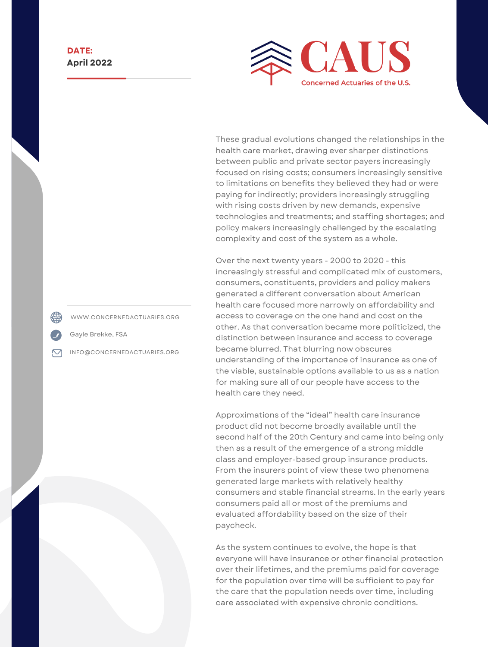

These gradual evolutions changed the relationships in the health care market, drawing ever sharper distinctions between public and private sector payers increasingly focused on rising costs; consumers increasingly sensitive to limitations on benefits they believed they had or were paying for indirectly; providers increasingly struggling with rising costs driven by new demands, expensive technologies and treatments; and staffing shortages; and policy makers increasingly challenged by the escalating complexity and cost of the system as a whole.

Over the next twenty years - 2000 to 2020 - this increasingly stressful and complicated mix of customers, consumers, constituents, providers and policy makers generated a different conversation about American health care focused more narrowly on affordability and access to coverage on the one hand and cost on the other. As that conversation became more politicized, the distinction between insurance and access to coverage became blurred. That blurring now obscures understanding of the importance of insurance as one of the viable, sustainable options available to us as a nation for making sure all of our people have access to the health care they need.

Approximations of the "ideal" health care insurance product did not become broadly available until the second half of the 20th Century and came into being only then as a result of the emergence of a strong middle class and employer-based group insurance products. From the insurers point of view these two phenomena generated large markets with relatively healthy consumers and stable financial streams. In the early years consumers paid all or most of the premiums and evaluated affordability based on the size of their paycheck.

As the system continues to evolve, the hope is that everyone will have insurance or other financial protection over their lifetimes, and the premiums paid for coverage for the population over time will be sufficient to pay for the care that the population needs over time, including care associated with expensive chronic conditions.

WWW.CONCERNEDACTUARIES.ORG

Gayle Brekke, FSA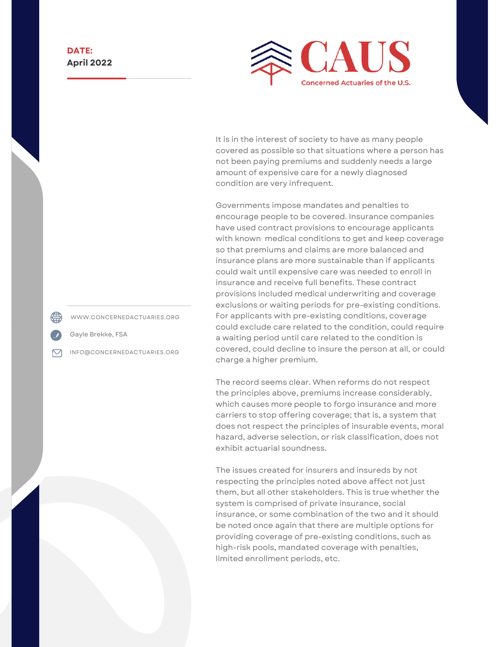

It is in the interest of society to have as many people covered as possible so that situations where a person has not been paying premiums and suddenly needs a large amount of expensive care for a newly diagnosed condition are very infrequent.

Governments impose mandates and penalties to encourage people to be covered. Insurance companies have used contract provisions to encourage applicants with known medical conditions to get and keep coverage so that premiums and claims are more balanced and insurance plans are more sustainable than if applicants could wait until expensive care was needed to enroll in insurance and receive full benefits. These contract provisions included medical underwriting and coverage exclusions or waiting periods for pre-existing conditions. For applicants with pre-existing conditions, coverage could exclude care related to the condition, could require a waiting period until care related to the condition is covered, could decline to insure the person at all, or could charge a higher premium.

The record seems clear. When reforms do not respect the principles above, premiums increase considerably, which causes more people to forgo insurance and more carriers to stop offering coverage; that is, a system that does not respect the principles of insurable events, moral hazard, adverse selection, or risk classification, does not exhibit actuarial soundness.

The issues created for insurers and insureds by not respecting the principles noted above affect not just them, but all other stakeholders. This is true whether the system is comprised of private insurance, social insurance, or some combination of the two and it should be noted once again that there are multiple options for providing coverage of pre-existing conditions, such as high-risk pools, mandated coverage with penalties, limited enrollment periods, etc.

WWW.CONCERNEDACTUARIES.ORG

Gayle Brekke, FSA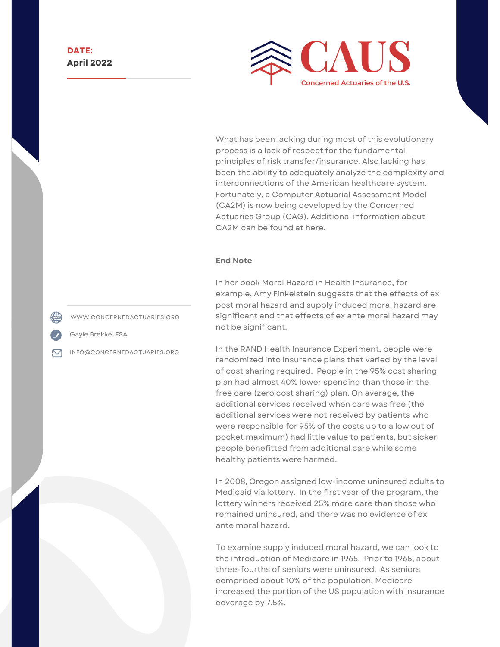

What has been lacking during most of this evolutionary process is a lack of respect for the fundamental principles of risk transfer/insurance. Also lacking has been the ability to adequately analyze the complexity and interconnections of the American healthcare system. Fortunately, a Computer Actuarial Assessment Model (CA2M) is now being developed by the Concerned Actuaries Group (CAG). Additional information about CA2M can be found at [here](http://www.concernedactuaries.org/index.php/video-3).

#### **End Note**

In her book Moral Hazard in Health Insurance, for example, Amy Finkelstein suggests that the effects of ex post moral hazard and supply induced moral hazard are significant and that effects of ex ante moral hazard may not be significant.

In the RAND Health Insurance Experiment, people were randomized into insurance plans that varied by the level of cost sharing required. People in the 95% cost sharing plan had almost 40% lower spending than those in the free care (zero cost sharing) plan. On average, the additional services received when care was free (the additional services were not received by patients who were responsible for 95% of the costs up to a low out of pocket maximum) had little value to patients, but sicker people benefitted from additional care while some healthy patients were harmed.

In 2008, Oregon assigned low-income uninsured adults to Medicaid via lottery. In the first year of the program, the lottery winners received 25% more care than those who remained uninsured, and there was no evidence of ex ante moral hazard.

To examine supply induced moral hazard, we can look to the introduction of Medicare in 1965. Prior to 1965, about three-fourths of seniors were uninsured. As seniors comprised about 10% of the population, Medicare increased the portion of the US population with insurance coverage by 7.5%.

WWW.CONCERNEDACTUARIES.ORG

Gayle Brekke, FSA